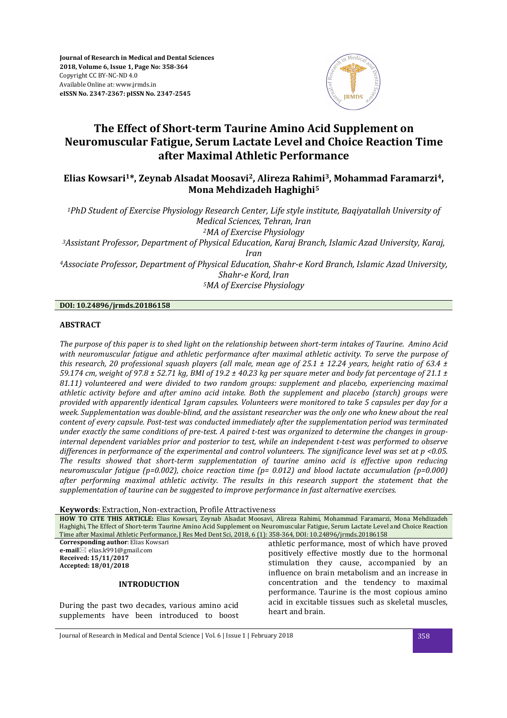

# **The Effect of Short-term Taurine Amino Acid Supplement on Neuromuscular Fatigue, Serum Lactate Level and Choice Reaction Time after Maximal Athletic Performance**

## **Elias Kowsari<sup>1</sup>\*, Zeynab Alsadat Moosavi<sup>2</sup>, Alireza Rahimi<sup>3</sup>, Mohammad Faramarzi<sup>4</sup>, Mona Mehdizadeh Haghighi<sup>5</sup>**

*<sup>1</sup>PhD Student of Exercise Physiology Research Center, Life style institute, Baqiyatallah University of Medical Sciences, Tehran, Iran <sup>2</sup>MA of Exercise Physiology <sup>3</sup>Assistant Professor, Department of Physical Education, Karaj Branch, Islamic Azad University, Karaj, Iran* 

*<sup>4</sup>Associate Professor, Department of Physical Education, Shahr-e Kord Branch, Islamic Azad University, Shahr-e Kord, Iran <sup>5</sup>MA of Exercise Physiology* 

## **DOI: 10.24896/jrmds.20186158**

## **ABSTRACT**

*The purpose of this paper is to shed light on the relationship between short-term intakes of Taurine. Amino Acid with neuromuscular fatigue and athletic performance after maximal athletic activity. To serve the purpose of this research, 20 professional squash players (all male, mean age of 25.1 ± 12.24 years, height ratio of 63.4 ± 59.174 cm, weight of 97.8 ± 52.71 kg, BMI of 19.2 ± 40.23 kg per square meter and body fat percentage of 21.1 ± 81.11) volunteered and were divided to two random groups: supplement and placebo, experiencing maximal athletic activity before and after amino acid intake. Both the supplement and placebo (starch) groups were provided with apparently identical 1gram capsules. Volunteers were monitored to take 5 capsules per day for a week. Supplementation was double-blind, and the assistant researcher was the only one who knew about the real content of every capsule. Post-test was conducted immediately after the supplementation period was terminated under exactly the same conditions of pre-test. A paired t-test was organized to determine the changes in groupinternal dependent variables prior and posterior to test, while an independent t-test was performed to observe differences in performance of the experimental and control volunteers. The significance level was set at p <0.05. The results showed that short-term supplementation of taurine amino acid is effective upon reducing neuromuscular fatigue (p=0.002), choice reaction time (p= 0.012) and blood lactate accumulation (p=0.000) after performing maximal athletic activity. The results in this research support the statement that the supplementation of taurine can be suggested to improve performance in fast alternative exercises.* 

**Keywords**: Extraction, Non-extraction, Profile Attractiveness

| HOW TO CITE THIS ARTICLE: Elias Kowsari, Zeynab Alsadat Moosavi, Alireza Rahimi, Mohammad Faramarzi, Mona Mehdizadeh               |                                                     |  |  |  |  |
|------------------------------------------------------------------------------------------------------------------------------------|-----------------------------------------------------|--|--|--|--|
| Haghighi, The Effect of Short-term Taurine Amino Acid Supplement on Neuromuscular Fatigue, Serum Lactate Level and Choice Reaction |                                                     |  |  |  |  |
| Time after Maximal Athletic Performance, J Res Med Dent Sci, 2018, 6 (1): 358-364, DOI: 10.24896/jrmds.20186158                    |                                                     |  |  |  |  |
| <b>Corresponding author: Elias Kowsari</b>                                                                                         | athletic performance, most of which have proved     |  |  |  |  |
| e-mail $\boxtimes$ elias.k991@gmail.com                                                                                            | positively effective mostly due to the hormonal     |  |  |  |  |
| Received: 15/11/2017                                                                                                               | stimulation they cause, accompanied by an           |  |  |  |  |
| Accepted: 18/01/2018                                                                                                               |                                                     |  |  |  |  |
|                                                                                                                                    | influence on brain metabolism and an increase in    |  |  |  |  |
| <b>INTRODUCTION</b>                                                                                                                | concentration and the tendency to maximal           |  |  |  |  |
|                                                                                                                                    | performance. Taurine is the most copious amino      |  |  |  |  |
|                                                                                                                                    | acid in excitable tissues such as skeletal muscles, |  |  |  |  |
| During the past two decades, various amino acid                                                                                    | heart and brain.                                    |  |  |  |  |
| quantements house heap introduced to heast                                                                                         |                                                     |  |  |  |  |

Journal of Research in Medical and Dental Science | Vol. 6 | Issue 1 | February 2018 358

supplements have been introduced to boost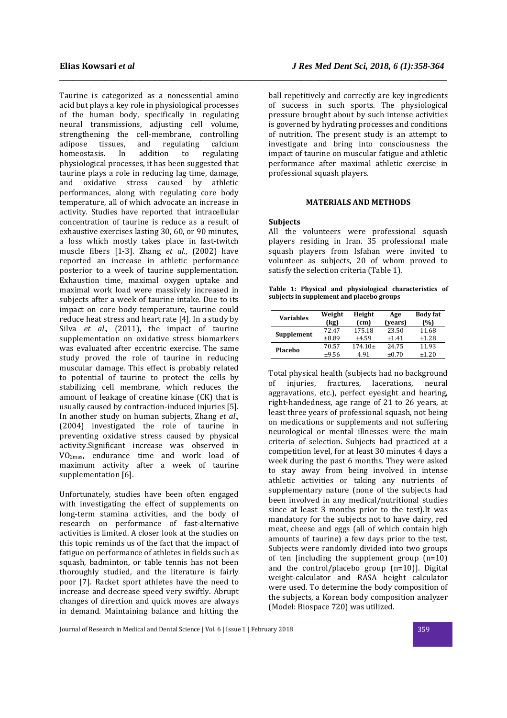Taurine is categorized as a nonessential amino acid but plays a key role in physiological processes of the human body, specifically in regulating neural transmissions, adjusting cell volume, strengthening the cell-membrane, controlling<br>adipose tissues, and regulating calcium adipose tissues, and regulating calcium homeostasis. In addition to regulating physiological processes, it has been suggested that taurine plays a role in reducing lag time, damage, and oxidative stress caused by athletic performances, along with regulating core body temperature, all of which advocate an increase in activity. Studies have reported that intracellular concentration of taurine is reduce as a result of exhaustive exercises lasting 30, 60, or 90 minutes, a loss which mostly takes place in fast-twitch muscle fibers [1-3]. Zhang *et al*., (2002) have reported an increase in athletic performance posterior to a week of taurine supplementation. Exhaustion time, maximal oxygen uptake and maximal work load were massively increased in subjects after a week of taurine intake. Due to its impact on core body temperature, taurine could reduce heat stress and heart rate [4]. In a study by Silva *et al*., (2011), the impact of taurine supplementation on oxidative stress biomarkers was evaluated after eccentric exercise. The same study proved the role of taurine in reducing muscular damage. This effect is probably related to potential of taurine to protect the cells by stabilizing cell membrane, which reduces the amount of leakage of creatine kinase (CK) that is usually caused by contraction-induced injuries [5]. In another study on human subjects, Zhang *et al*., (2004) investigated the role of taurine in preventing oxidative stress caused by physical activity.Significant increase was observed in VO2max, endurance time and work load of maximum activity after a week of taurine supplementation [6].

Unfortunately, studies have been often engaged with investigating the effect of supplements on long-term stamina activities, and the body of research on performance of fast-alternative activities is limited. A closer look at the studies on this topic reminds us of the fact that the impact of fatigue on performance of athletes in fields such as squash, badminton, or table tennis has not been thoroughly studied, and the literature is fairly poor [7]. Racket sport athletes have the need to increase and decrease speed very swiftly. Abrupt changes of direction and quick moves are always in demand. Maintaining balance and hitting the

ball repetitively and correctly are key ingredients of success in such sports. The physiological pressure brought about by such intense activities is governed by hydrating processes and conditions of nutrition. The present study is an attempt to investigate and bring into consciousness the impact of taurine on muscular fatigue and athletic performance after maximal athletic exercise in professional squash players.

### **MATERIALS AND METHODS**

#### **Subjects**

*\_\_\_\_\_\_\_\_\_\_\_\_\_\_\_\_\_\_\_\_\_\_\_\_\_\_\_\_\_\_\_\_\_\_\_\_\_\_\_\_\_\_\_\_\_\_\_\_\_\_\_\_\_\_\_\_\_\_\_\_\_\_\_\_\_\_\_\_\_\_\_\_\_\_\_\_\_\_\_\_\_\_\_\_\_* 

All the volunteers were professional squash players residing in Iran. 35 professional male squash players from Isfahan were invited to volunteer as subjects, 20 of whom proved to satisfy the selection criteria (Table 1).

**Table 1: Physical and physiological characteristics of subjects in supplement and placebo groups** 

| <b>Variables</b> | Weight<br>(kg) | Height<br>(c <sub>m</sub> ) | Age<br>(years) | <b>Body fat</b><br>(%) |
|------------------|----------------|-----------------------------|----------------|------------------------|
| Supplement       | 72.47          | 175.18                      | 23.50          | 11.68                  |
|                  | ±8.89          | $+4.59$                     | $+1.41$        | $+1.28$                |
| Placebo          | 70.57          | $174.10+$                   | 24.75          | 11.93                  |
|                  | $\pm 9.56$     | 491                         | $+0.70$        | $+1.20$                |

Total physical health (subjects had no background of injuries, fractures, lacerations, neural aggravations, etc.), perfect eyesight and hearing, right-handedness, age range of 21 to 26 years, at least three years of professional squash, not being on medications or supplements and not suffering neurological or mental illnesses were the main criteria of selection. Subjects had practiced at a competition level, for at least 30 minutes 4 days a week during the past 6 months. They were asked to stay away from being involved in intense athletic activities or taking any nutrients of supplementary nature (none of the subjects had been involved in any medical/nutritional studies since at least 3 months prior to the test).It was mandatory for the subjects not to have dairy, red meat, cheese and eggs (all of which contain high amounts of taurine) a few days prior to the test. Subjects were randomly divided into two groups of ten [including the supplement group  $(n=10)$ ] and the control/placebo group (n=10)]. Digital weight-calculator and RASA height calculator were used. To determine the body composition of the subjects, a Korean body composition analyzer (Model: Biospace 720) was utilized.

Journal of Research in Medical and Dental Science | Vol. 6 | Issue 1 | February 2018 359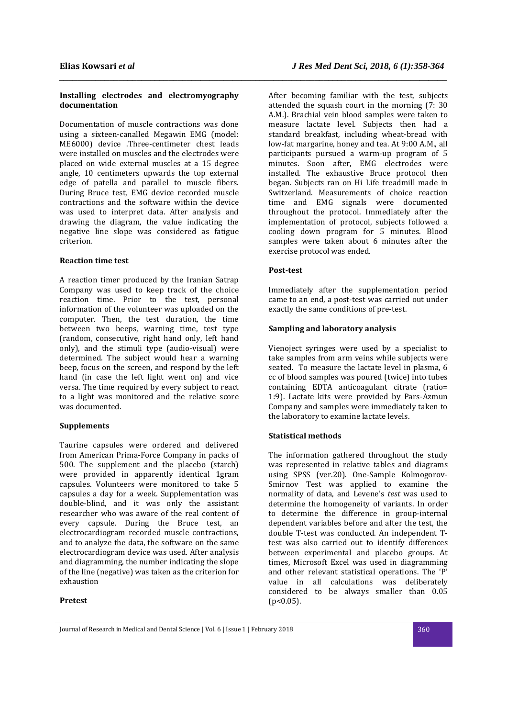## **Installing electrodes and electromyography documentation**

Documentation of muscle contractions was done using a sixteen-canalled Megawin EMG (model: ME6000) device .Three-centimeter chest leads were installed on muscles and the electrodes were placed on wide external muscles at a 15 degree angle, 10 centimeters upwards the top external edge of patella and parallel to muscle fibers. During Bruce test, EMG device recorded muscle contractions and the software within the device was used to interpret data. After analysis and drawing the diagram, the value indicating the negative line slope was considered as fatigue criterion.

### **Reaction time test**

A reaction timer produced by the Iranian Satrap Company was used to keep track of the choice reaction time. Prior to the test, personal information of the volunteer was uploaded on the computer. Then, the test duration, the time between two beeps, warning time, test type (random, consecutive, right hand only, left hand only), and the stimuli type (audio-visual) were determined. The subject would hear a warning beep, focus on the screen, and respond by the left hand (in case the left light went on) and vice versa. The time required by every subject to react to a light was monitored and the relative score was documented.

## **Supplements**

Taurine capsules were ordered and delivered from American Prima-Force Company in packs of 500. The supplement and the placebo (starch) were provided in apparently identical 1gram capsules. Volunteers were monitored to take 5 capsules a day for a week. Supplementation was double-blind, and it was only the assistant researcher who was aware of the real content of every capsule. During the Bruce test, an electrocardiogram recorded muscle contractions, and to analyze the data, the software on the same electrocardiogram device was used. After analysis and diagramming, the number indicating the slope of the line (negative) was taken as the criterion for exhaustion

## **Pretest**

After becoming familiar with the test, subjects attended the squash court in the morning (7: 30 A.M.). Brachial vein blood samples were taken to measure lactate level. Subjects then had a standard breakfast, including wheat-bread with low-fat margarine, honey and tea. At 9:00 A.M., all participants pursued a warm-up program of 5 minutes. Soon after, EMG electrodes were installed. The exhaustive Bruce protocol then began. Subjects ran on Hi Life treadmill made in Switzerland. Measurements of choice reaction time and EMG signals were documented throughout the protocol. Immediately after the implementation of protocol, subjects followed a cooling down program for 5 minutes. Blood samples were taken about 6 minutes after the exercise protocol was ended.

### **Post-test**

*\_\_\_\_\_\_\_\_\_\_\_\_\_\_\_\_\_\_\_\_\_\_\_\_\_\_\_\_\_\_\_\_\_\_\_\_\_\_\_\_\_\_\_\_\_\_\_\_\_\_\_\_\_\_\_\_\_\_\_\_\_\_\_\_\_\_\_\_\_\_\_\_\_\_\_\_\_\_\_\_\_\_\_\_\_* 

Immediately after the supplementation period came to an end, a post-test was carried out under exactly the same conditions of pre-test.

## **Sampling and laboratory analysis**

Vienoject syringes were used by a specialist to take samples from arm veins while subjects were seated. To measure the lactate level in plasma, 6 cc of blood samples was poured (twice) into tubes containing EDTA anticoagulant citrate (ratio= 1:9). Lactate kits were provided by Pars-Azmun Company and samples were immediately taken to the laboratory to examine lactate levels.

## **Statistical methods**

The information gathered throughout the study was represented in relative tables and diagrams using SPSS (ver.20). One-Sample Kolmogorov-Smirnov Test was applied to examine the normality of data, and Levene's *test* was used to determine the homogeneity of variants. In order to determine the difference in group-internal dependent variables before and after the test, the double T-test was conducted. An independent Ttest was also carried out to identify differences between experimental and placebo groups. At times, Microsoft Excel was used in diagramming and other relevant statistical operations. The 'P' value in all calculations was deliberately considered to be always smaller than 0.05  $(p<0.05)$ .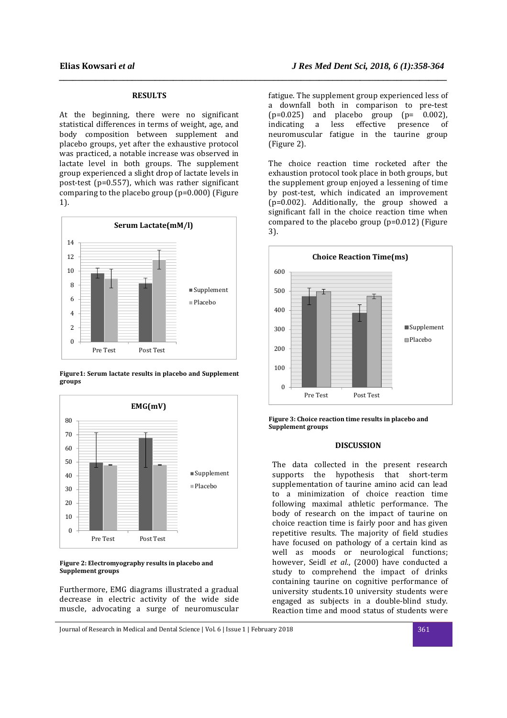## **RESULTS**

*\_\_\_\_\_\_\_\_\_\_\_\_\_\_\_\_\_\_\_\_\_\_\_\_\_\_\_\_\_\_\_\_\_\_\_\_\_\_\_\_\_\_\_\_\_\_\_\_\_\_\_\_\_\_\_\_\_\_\_\_\_\_\_\_\_\_\_\_\_\_\_\_\_\_\_\_\_\_\_\_\_\_\_\_\_* 

At the beginning, there were no significant statistical differences in terms of weight, age, and body composition between supplement and placebo groups, yet after the exhaustive protocol was practiced, a notable increase was observed in lactate level in both groups. The supplement group experienced a slight drop of lactate levels in post-test (p=0.557), which was rather significant comparing to the placebo group (p=0.000) (Figure 1).



**Figure1: Serum lactate results in placebo and Supplement groups**



#### **Figure 2: Electromyography results in placebo and Supplement groups**

Furthermore, EMG diagrams illustrated a gradual decrease in electric activity of the wide side muscle, advocating a surge of neuromuscular

fatigue. The supplement group experienced less of a downfall both in comparison to pre-test  $(p=0.025)$  and placebo group  $(p= 0.002)$ , indicating a less effective presence of neuromuscular fatigue in the taurine group (Figure 2).

The choice reaction time rocketed after the exhaustion protocol took place in both groups, but the supplement group enjoyed a lessening of time by post-test, which indicated an improvement (p=0.002). Additionally, the group showed a significant fall in the choice reaction time when compared to the placebo group (p=0.012) (Figure 3).



**Figure 3: Choice reaction time results in placebo and Supplement groups**

## **DISCUSSION**

The data collected in the present research supports the hypothesis that short-term supplementation of taurine amino acid can lead to a minimization of choice reaction time following maximal athletic performance. The body of research on the impact of taurine on choice reaction time is fairly poor and has given repetitive results. The majority of field studies have focused on pathology of a certain kind as well as moods or neurological functions; however, Seidl *et al*., (2000) have conducted a study to comprehend the impact of drinks containing taurine on cognitive performance of university students.10 university students were engaged as subjects in a double-blind study. Reaction time and mood status of students were

Journal of Research in Medical and Dental Science | Vol. 6 | Issue 1 | February 2018 361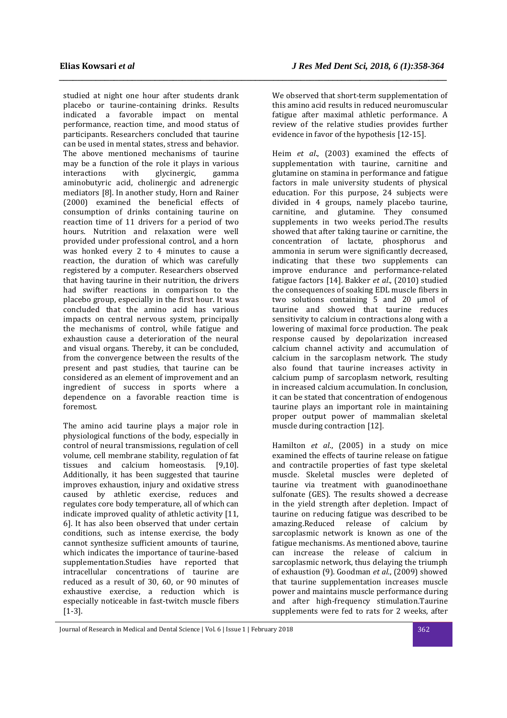studied at night one hour after students drank placebo or taurine-containing drinks. Results indicated a favorable impact on mental performance, reaction time, and mood status of participants. Researchers concluded that taurine can be used in mental states, stress and behavior. The above mentioned mechanisms of taurine may be a function of the role it plays in various<br>interactions with glycinergic, gamma glycinergic. aminobutyric acid, cholinergic and adrenergic mediators [8]. In another study, Horn and Rainer (2000) examined the beneficial effects of consumption of drinks containing taurine on reaction time of 11 drivers for a period of two hours. Nutrition and relaxation were well provided under professional control, and a horn was honked every 2 to 4 minutes to cause a reaction, the duration of which was carefully registered by a computer. Researchers observed that having taurine in their nutrition, the drivers had swifter reactions in comparison to the placebo group, especially in the first hour. It was concluded that the amino acid has various impacts on central nervous system, principally the mechanisms of control, while fatigue and exhaustion cause a deterioration of the neural and visual organs. Thereby, it can be concluded, from the convergence between the results of the present and past studies, that taurine can be considered as an element of improvement and an ingredient of success in sports where a dependence on a favorable reaction time is foremost.

The amino acid taurine plays a major role in physiological functions of the body, especially in control of neural transmissions, regulation of cell volume, cell membrane stability, regulation of fat tissues and calcium homeostasis. [9,10]. Additionally, it has been suggested that taurine improves exhaustion, injury and oxidative stress caused by athletic exercise, reduces and regulates core body temperature, all of which can indicate improved quality of athletic activity [11, 6]. It has also been observed that under certain conditions, such as intense exercise, the body cannot synthesize sufficient amounts of taurine, which indicates the importance of taurine-based supplementation.Studies have reported that intracellular concentrations of taurine are reduced as a result of 30, 60, or 90 minutes of exhaustive exercise, a reduction which is especially noticeable in fast-twitch muscle fibers [1-3].

We observed that short-term supplementation of this amino acid results in reduced neuromuscular fatigue after maximal athletic performance. A review of the relative studies provides further evidence in favor of the hypothesis [12-15].

*\_\_\_\_\_\_\_\_\_\_\_\_\_\_\_\_\_\_\_\_\_\_\_\_\_\_\_\_\_\_\_\_\_\_\_\_\_\_\_\_\_\_\_\_\_\_\_\_\_\_\_\_\_\_\_\_\_\_\_\_\_\_\_\_\_\_\_\_\_\_\_\_\_\_\_\_\_\_\_\_\_\_\_\_\_* 

Heim *et al*., (2003) examined the effects of supplementation with taurine, carnitine and glutamine on stamina in performance and fatigue factors in male university students of physical education. For this purpose, 24 subjects were divided in 4 groups, namely placebo taurine, carnitine, and glutamine. They consumed supplements in two weeks period.The results showed that after taking taurine or carnitine, the concentration of lactate, phosphorus and ammonia in serum were significantly decreased, indicating that these two supplements can improve endurance and performance-related fatigue factors [14]. Bakker *et al*., (2010) studied the consequences of soaking EDL muscle fibers in two solutions containing 5 and 20 µmol of taurine and showed that taurine reduces sensitivity to calcium in contractions along with a lowering of maximal force production. The peak response caused by depolarization increased calcium channel activity and accumulation of calcium in the sarcoplasm network. The study also found that taurine increases activity in calcium pump of sarcoplasm network, resulting in increased calcium accumulation. In conclusion, it can be stated that concentration of endogenous taurine plays an important role in maintaining proper output power of mammalian skeletal muscle during contraction [12].

Hamilton *et al*., (2005) in a study on mice examined the effects of taurine release on fatigue and contractile properties of fast type skeletal muscle. Skeletal muscles were depleted of taurine via treatment with guanodinoethane sulfonate (GES). The results showed a decrease in the yield strength after depletion. Impact of taurine on reducing fatigue was described to be amazing.Reduced release of calcium by sarcoplasmic network is known as one of the fatigue mechanisms. As mentioned above, taurine can increase the release of calcium in sarcoplasmic network, thus delaying the triumph of exhaustion (9). Goodman *et al*., (2009) showed that taurine supplementation increases muscle power and maintains muscle performance during and after high-frequency stimulation.Taurine supplements were fed to rats for 2 weeks, after

Journal of Research in Medical and Dental Science | Vol. 6 | Issue 1 | February 2018 362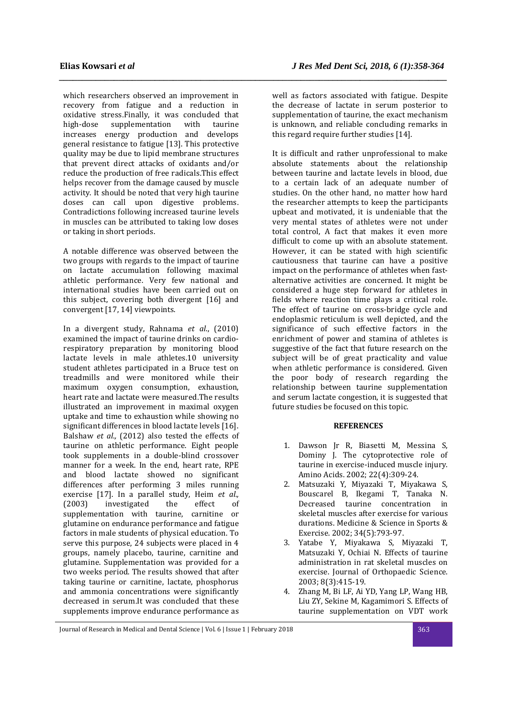which researchers observed an improvement in recovery from fatigue and a reduction in oxidative stress.Finally, it was concluded that high-dose supplementation with taurine increases energy production and develops general resistance to fatigue [13]. This protective quality may be due to lipid membrane structures that prevent direct attacks of oxidants and/or reduce the production of free radicals.This effect helps recover from the damage caused by muscle activity. It should be noted that very high taurine doses can call upon digestive problems. Contradictions following increased taurine levels in muscles can be attributed to taking low doses or taking in short periods.

A notable difference was observed between the two groups with regards to the impact of taurine on lactate accumulation following maximal athletic performance. Very few national and international studies have been carried out on this subject, covering both divergent [16] and convergent [17, 14] viewpoints.

In a divergent study, Rahnama *et al*., (2010) examined the impact of taurine drinks on cardiorespiratory preparation by monitoring blood lactate levels in male athletes.10 university student athletes participated in a Bruce test on treadmills and were monitored while their maximum oxygen consumption, exhaustion, heart rate and lactate were measured.The results illustrated an improvement in maximal oxygen uptake and time to exhaustion while showing no significant differences in blood lactate levels [16]. Balshaw *et al.,* (2012) also tested the effects of taurine on athletic performance. Eight people took supplements in a double-blind crossover manner for a week. In the end, heart rate, RPE and blood lactate showed no significant differences after performing 3 miles running exercise [17]. In a parallel study, Heim *et al.,* (2003) investigated the effect of supplementation with taurine, carnitine or glutamine on endurance performance and fatigue factors in male students of physical education. To serve this purpose, 24 subjects were placed in 4 groups, namely placebo, taurine, carnitine and glutamine. Supplementation was provided for a two weeks period. The results showed that after taking taurine or carnitine, lactate, phosphorus and ammonia concentrations were significantly decreased in serum.It was concluded that these supplements improve endurance performance as

well as factors associated with fatigue. Despite the decrease of lactate in serum posterior to supplementation of taurine, the exact mechanism is unknown, and reliable concluding remarks in this regard require further studies [14].

*\_\_\_\_\_\_\_\_\_\_\_\_\_\_\_\_\_\_\_\_\_\_\_\_\_\_\_\_\_\_\_\_\_\_\_\_\_\_\_\_\_\_\_\_\_\_\_\_\_\_\_\_\_\_\_\_\_\_\_\_\_\_\_\_\_\_\_\_\_\_\_\_\_\_\_\_\_\_\_\_\_\_\_\_\_* 

It is difficult and rather unprofessional to make absolute statements about the relationship between taurine and lactate levels in blood, due to a certain lack of an adequate number of studies. On the other hand, no matter how hard the researcher attempts to keep the participants upbeat and motivated, it is undeniable that the very mental states of athletes were not under total control, A fact that makes it even more difficult to come up with an absolute statement. However, it can be stated with high scientific cautiousness that taurine can have a positive impact on the performance of athletes when fastalternative activities are concerned. It might be considered a huge step forward for athletes in fields where reaction time plays a critical role. The effect of taurine on cross-bridge cycle and endoplasmic reticulum is well depicted, and the significance of such effective factors in the enrichment of power and stamina of athletes is suggestive of the fact that future research on the subject will be of great practicality and value when athletic performance is considered. Given the poor body of research regarding the relationship between taurine supplementation and serum lactate congestion, it is suggested that future studies be focused on this topic.

### **REFERENCES**

- 1. Dawson Jr R, Biasetti M, Messina S, Dominy J. The cytoprotective role of taurine in exercise-induced muscle injury. Amino Acids. 2002; 22(4):309-24.
- 2. Matsuzaki Y, Miyazaki T, Miyakawa S, Bouscarel B, Ikegami T, Tanaka N. Decreased taurine concentration in skeletal muscles after exercise for various durations. Medicine & Science in Sports & Exercise. 2002; 34(5):793-97.
- 3. Yatabe Y, Miyakawa S, Miyazaki T, Matsuzaki Y, Ochiai N. Effects of taurine administration in rat skeletal muscles on exercise. Journal of Orthopaedic Science. 2003; 8(3):415-19.
- 4. Zhang M, Bi LF, Ai YD, Yang LP, Wang HB, Liu ZY, Sekine M, Kagamimori S. Effects of taurine supplementation on VDT work

Journal of Research in Medical and Dental Science | Vol. 6 | Issue 1 | February 2018 363